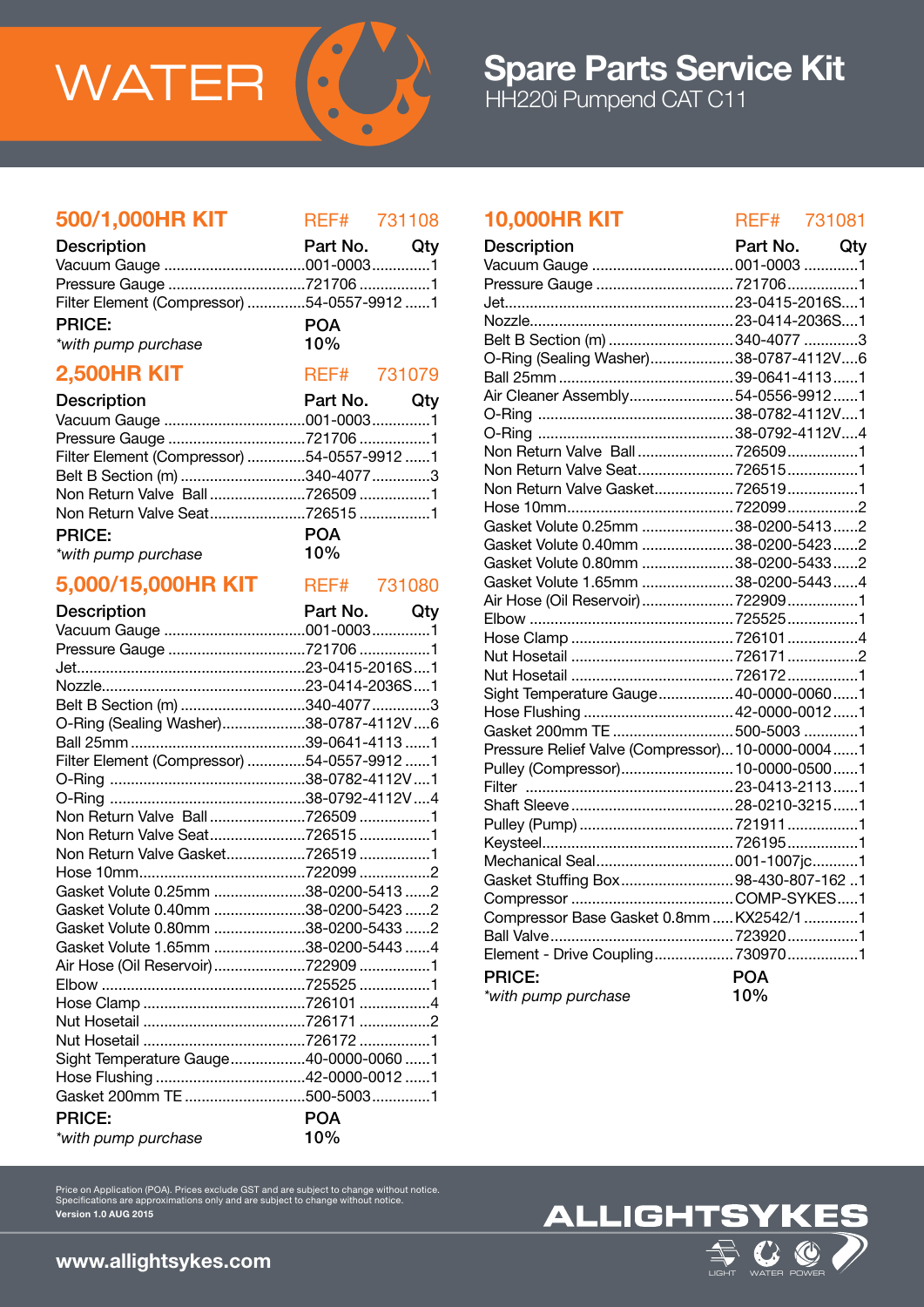

# 500/1,000HR KIT REF# 731108

| <b>Description</b>                         | Part No. Qty |  |
|--------------------------------------------|--------------|--|
|                                            |              |  |
|                                            |              |  |
| Filter Element (Compressor) 54-0557-9912 1 |              |  |
| <b>PRICE:</b>                              | <b>POA</b>   |  |
| *with pump purchase                        | 10%          |  |

# **2,500HR KIT** REF# 731079

| <b>Description</b>                         | Part No. Qty |  |
|--------------------------------------------|--------------|--|
|                                            |              |  |
|                                            |              |  |
| Filter Element (Compressor) 54-0557-9912 1 |              |  |
| Belt B Section (m) 340-4077 3              |              |  |
| Non Return Valve Ball7265091               |              |  |
| Non Return Valve Seat7265151               |              |  |
| <b>PRICE:</b>                              | <b>POA</b>   |  |
| *with pump purchase                        | $10\%$       |  |

## 5,000/15,000HR KIT REF# 731080

| <b>Description</b>                         | Part No. Qty |
|--------------------------------------------|--------------|
|                                            |              |
| Pressure Gauge 721706 1                    |              |
|                                            |              |
|                                            |              |
| Belt B Section (m) 340-4077 3              |              |
| O-Ring (Sealing Washer)38-0787-4112V6      |              |
|                                            |              |
| Filter Element (Compressor) 54-0557-9912 1 |              |
|                                            |              |
|                                            |              |
| Non Return Valve Ball7265091               |              |
| Non Return Valve Seat7265151               |              |
| Non Return Valve Gasket7265191             |              |
|                                            |              |
| Gasket Volute 0.25mm 38-0200-5413 2        |              |
| Gasket Volute 0.40mm 38-0200-5423 2        |              |
| Gasket Volute 0.80mm 38-0200-5433 2        |              |
| Gasket Volute 1.65mm 38-0200-5443 4        |              |
| Air Hose (Oil Reservoir) 722909 1          |              |
|                                            |              |
|                                            |              |
|                                            |              |
|                                            |              |
| Sight Temperature Gauge40-0000-0060 1      |              |
|                                            |              |
|                                            |              |
| <b>PRICE:</b>                              | <b>POA</b>   |
| *with pump purchase                        | 10%          |

# 10,000HR KIT REF# 731081

| <b>Description</b>                               | Part No. Qty |  |
|--------------------------------------------------|--------------|--|
|                                                  |              |  |
| Pressure Gauge 721706 1                          |              |  |
|                                                  |              |  |
|                                                  |              |  |
| Belt B Section (m) 340-4077 3                    |              |  |
| O-Ring (Sealing Washer)38-0787-4112V6            |              |  |
|                                                  |              |  |
| Air Cleaner Assembly54-0556-99121                |              |  |
|                                                  |              |  |
|                                                  |              |  |
| Non Return Valve Ball 7265091                    |              |  |
| Non Return Valve Seat7265151                     |              |  |
| Non Return Valve Gasket 7265191                  |              |  |
|                                                  |              |  |
| Gasket Volute 0.25mm 38-0200-54132               |              |  |
| Gasket Volute 0.40mm 38-0200-54232               |              |  |
| Gasket Volute 0.80mm  38-0200-5433 2             |              |  |
| Gasket Volute 1.65mm 38-0200-54434               |              |  |
| Air Hose (Oil Reservoir)  722909 1               |              |  |
|                                                  |              |  |
|                                                  |              |  |
|                                                  |              |  |
|                                                  |              |  |
| Sight Temperature Gauge 40-0000-00601            |              |  |
| Hose Flushing  42-0000-0012 1                    |              |  |
| Gasket 200mm TE  500-5003 1                      |              |  |
| Pressure Relief Valve (Compressor) 10-0000-00041 |              |  |
| Pulley (Compressor) 10-0000-05001                |              |  |
|                                                  |              |  |
|                                                  |              |  |
|                                                  |              |  |
|                                                  |              |  |
| Mechanical Seal 001-1007jc1                      |              |  |
| Gasket Stuffing Box98-430-807-1621               |              |  |
|                                                  |              |  |
| Compressor Base Gasket 0.8mm  KX2542/1 1         |              |  |
|                                                  |              |  |
|                                                  |              |  |
| <b>PRICE:</b>                                    | <b>POA</b>   |  |
| *with pump purchase                              | 10%          |  |



www.allightsykes.com

Version 1.0 AUG 2015